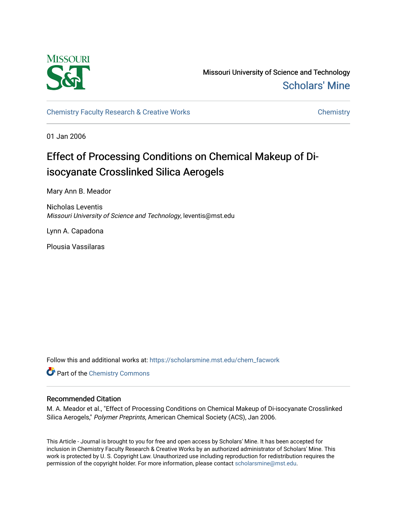

Missouri University of Science and Technology [Scholars' Mine](https://scholarsmine.mst.edu/) 

[Chemistry Faculty Research & Creative Works](https://scholarsmine.mst.edu/chem_facwork) [Chemistry](https://scholarsmine.mst.edu/chem) Chemistry

01 Jan 2006

# Effect of Processing Conditions on Chemical Makeup of Diisocyanate Crosslinked Silica Aerogels

Mary Ann B. Meador

Nicholas Leventis Missouri University of Science and Technology, leventis@mst.edu

Lynn A. Capadona

Plousia Vassilaras

Follow this and additional works at: [https://scholarsmine.mst.edu/chem\\_facwork](https://scholarsmine.mst.edu/chem_facwork?utm_source=scholarsmine.mst.edu%2Fchem_facwork%2F2407&utm_medium=PDF&utm_campaign=PDFCoverPages)

**Part of the Chemistry Commons** 

# Recommended Citation

M. A. Meador et al., "Effect of Processing Conditions on Chemical Makeup of Di-isocyanate Crosslinked Silica Aerogels," Polymer Preprints, American Chemical Society (ACS), Jan 2006.

This Article - Journal is brought to you for free and open access by Scholars' Mine. It has been accepted for inclusion in Chemistry Faculty Research & Creative Works by an authorized administrator of Scholars' Mine. This work is protected by U. S. Copyright Law. Unauthorized use including reproduction for redistribution requires the permission of the copyright holder. For more information, please contact [scholarsmine@mst.edu](mailto:scholarsmine@mst.edu).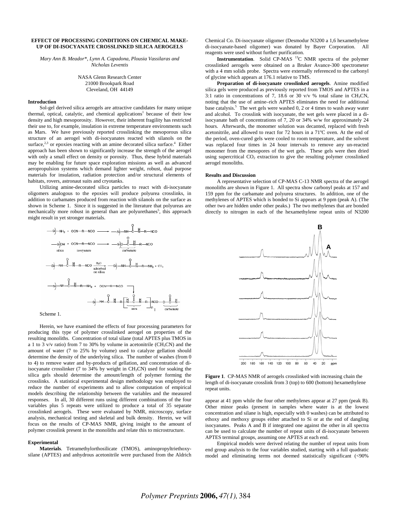## **EFFECT OF PROCESSING CONDITIONS ON CHEMICAL MAKE-UP OF DI-ISOCYANATE CROSSLINKED SILICA AEROGELS**

*Mary Ann B. Meador\*, Lynn A. Capadona, Plousia Vassilaras and Nicholas Leventis* 

> NASA Glenn Research Center 21000 Brookpark Road Cleveland, OH 44149

#### **Introduction**

Sol-gel derived silica aerogels are attractive candidates for many unique thermal, optical, catalytic, and chemical applications<sup>1</sup> because of their low density and high mesoporosity. However, their inherent fragility has restricted their use to, for example, insulation in extreme temperature environments such as Mars. We have previously reported crosslinking the mesoporous silica structure of an aerogel with di-isocyanates reacted with silanols on the surface, $2<sup>3</sup>$  $2<sup>3</sup>$  $2<sup>3</sup>$  or epoxies reacting with an amine decorated silica surface.<sup>4</sup> Either approach has been shown to significantly increase the strength of the aerogel with only a small effect on density or porosity. Thus, these hybrid materials may be enabling for future space exploration missions as well as advanced aeropropulsion systems which demand lighter weight, robust, dual purpose materials for insulation, radiation protection and/or structural elements of habitats, rovers, astronaut suits and cryotanks.

Utilizing amine-decorated silica particles to react with di-isocyanate oligomers analogous to the epoxies will produce polyurea crosslinks, in addition to carbamates produced from reaction with silanols on the surface as shown in Scheme 1. Since it is suggested in the literature that polyureas are mechanically more robust in general than are polyurethanes<sup>[5](#page-2-4)</sup>, this approach might result in yet stronger materials.



Herein, we have examined the effects of four processing parameters for producing this type of polymer crosslinked aerogel on properties of the resulting monoliths. Concentration of total silane (total APTES plus TMOS in a 1 to 3 v/v ratio) from 7 to 30% by volume in acetonitrile (CH<sub>3</sub>CN) and the amount of water (7 to 25% by volume) used to catalyze gellation should determine the density of the underlying silica. The number of washes (from 0 to 4) to remove water and by-products of gellation, and concentration of diisocyanate crosslinker (7 to 34% by weight in CH<sub>3</sub>CN) used for soaking the silica gels should determine the amount/length of polymer forming the crosslinks. A statistical experimental design methodology was employed to reduce the number of experiments and to allow computation of empirical models describing the relationship between the variables and the measured responses. In all, 30 different runs using different combinations of the four variables plus 5 repeats were utilized to produce a total of 35 separate crosslinked aerogels. These were evaluated by NMR, microscopy, surface analysis, mechanical testing and skeletal and bulk density. Herein, we will focus on the results of CP-MAS NMR, giving insight to the amount of polymer crosslink present in the monoliths and relate this to microstructure.

#### **Experimental**

**Materials**. Tetramethylorthosilicate (TMOS), aminopropyltriethoxysilane (APTES) and anhydrous acetonitrile were purchased from the Aldrich Chemical Co. Di-isocyanate oligomer (Desmodur N3200 a 1,6 hexamethylene di-isocyanate-based oligomer) was donated by Bayer Corporation. All reagents were used without further purification.

**Instrumentation**. Solid CP-MAS<sup>13</sup>C NMR spectra of the polymer crosslinked aerogels were obtained on a Bruker Avance-300 spectrometer with a 4 mm solids probe. Spectra were externally referenced to the carbonyl of glycine which appears at 176.1 relative to TMS.

**Preparation of di-isocyanate crosslinked aerogels**. Amine modified silica gels were produced as previously reported from TMOS and APTES in a 3:1 ratio in concentrations of 7, 18.6 or 30 v/v % total silane in CH<sub>3</sub>CN, noting that the use of amine–rich APTES eliminates the need for additional base catalysis.<sup>5</sup> The wet gels were washed 0, 2 or 4 times to wash away water and alcohol. To crosslink with isocyanate, the wet gels were placed in a diisocyanate bath of concentrations of 7, 20 or 34% w/w for approximately 24 hours. Afterwards, the monomer solution was decanted, replaced with fresh acetonitrile, and allowed to react for 72 hours in a 71°C oven. At the end of the period, oven-cured gels were cooled to room temperature, and the solvent was replaced four times in 24 hour intervals to remove any un-reacted monomer from the mesopores of the wet gels. These gels were then dried using supercritical  $CO<sub>2</sub>$  extraction to give the resulting polymer crosslinked aerogel monoliths.

#### **Results and Discussion**

A representative selection of CP-MAS C-13 NMR spectra of the aerogel monoliths are shown in Figure 1. All spectra show carbonyl peaks at 157 and 159 ppm for the carbamate and polyurea structures. In addition, one of the methylenes of APTES which is bonded to Si appears at 9 ppm (peak A). (The other two are hidden under other peaks.) The two methylenes that are bonded directly to nitrogen in each of the hexamethylene repeat units of N3200



**Figure 1**. CP-MAS NMR of aerogels crosslinked with increasing chain the length of di-isocyanate crosslink from 3 (top) to 600 (bottom) hexamethylene repeat units.

appear at 41 ppm while the four other methylenes appear at 27 ppm (peak B). Other minor peaks (present in samples where water is at the lowest concentration and silane is high, especially with 0 washes) can be attributed to ethoxy and methoxy groups either attached to Si or at the end of dangling isocyanates. Peaks A and B if integrated one against the other in all spectra can be used to calculate the number of repeat units of di-isocyanate between APTES terminal groups, assuming one APTES at each end.

Empirical models were derived relating the number of repeat units from end group analysis to the four variables studied, starting with a full quadratic model and eliminating terms not deemed statistically significant (<90%